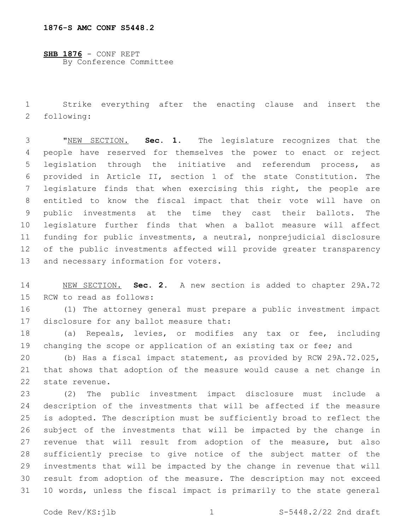**SHB 1876** - CONF REPT By Conference Committee

 Strike everything after the enacting clause and insert the 2 following:

 "NEW SECTION. **Sec. 1.** The legislature recognizes that the people have reserved for themselves the power to enact or reject legislation through the initiative and referendum process, as provided in Article II, section 1 of the state Constitution. The legislature finds that when exercising this right, the people are entitled to know the fiscal impact that their vote will have on public investments at the time they cast their ballots. The legislature further finds that when a ballot measure will affect funding for public investments, a neutral, nonprejudicial disclosure of the public investments affected will provide greater transparency and necessary information for voters.

 NEW SECTION. **Sec. 2.** A new section is added to chapter 29A.72 15 RCW to read as follows:

 (1) The attorney general must prepare a public investment impact 17 disclosure for any ballot measure that:

 (a) Repeals, levies, or modifies any tax or fee, including 19 changing the scope or application of an existing tax or fee; and

 (b) Has a fiscal impact statement, as provided by RCW 29A.72.025, that shows that adoption of the measure would cause a net change in 22 state revenue.

 (2) The public investment impact disclosure must include a description of the investments that will be affected if the measure is adopted. The description must be sufficiently broad to reflect the subject of the investments that will be impacted by the change in revenue that will result from adoption of the measure, but also sufficiently precise to give notice of the subject matter of the investments that will be impacted by the change in revenue that will result from adoption of the measure. The description may not exceed 10 words, unless the fiscal impact is primarily to the state general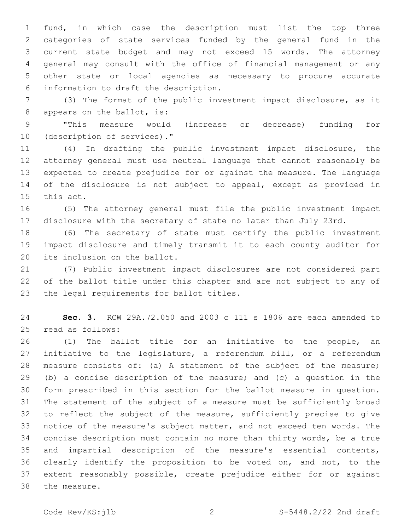fund, in which case the description must list the top three categories of state services funded by the general fund in the current state budget and may not exceed 15 words. The attorney general may consult with the office of financial management or any other state or local agencies as necessary to procure accurate information to draft the description.6

 (3) The format of the public investment impact disclosure, as it 8 appears on the ballot, is:

 "This measure would (increase or decrease) funding for 10 (description of services)."

 (4) In drafting the public investment impact disclosure, the attorney general must use neutral language that cannot reasonably be expected to create prejudice for or against the measure. The language of the disclosure is not subject to appeal, except as provided in 15 this act.

 (5) The attorney general must file the public investment impact disclosure with the secretary of state no later than July 23rd.

 (6) The secretary of state must certify the public investment impact disclosure and timely transmit it to each county auditor for 20 its inclusion on the ballot.

 (7) Public investment impact disclosures are not considered part of the ballot title under this chapter and are not subject to any of 23 the legal requirements for ballot titles.

 **Sec. 3.** RCW 29A.72.050 and 2003 c 111 s 1806 are each amended to 25 read as follows:

 (1) The ballot title for an initiative to the people, an 27 initiative to the legislature, a referendum bill, or a referendum measure consists of: (a) A statement of the subject of the measure; (b) a concise description of the measure; and (c) a question in the form prescribed in this section for the ballot measure in question. The statement of the subject of a measure must be sufficiently broad to reflect the subject of the measure, sufficiently precise to give notice of the measure's subject matter, and not exceed ten words. The concise description must contain no more than thirty words, be a true and impartial description of the measure's essential contents, clearly identify the proposition to be voted on, and not, to the extent reasonably possible, create prejudice either for or against 38 the measure.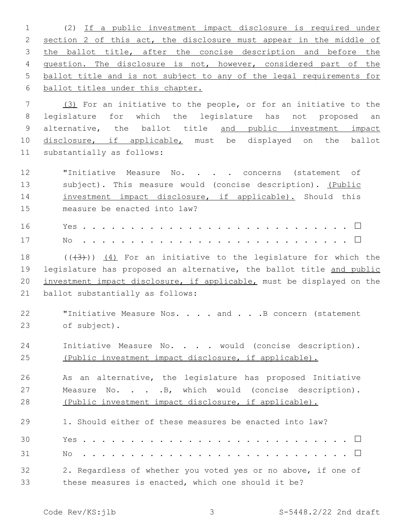(2) If a public investment impact disclosure is required under 2 section 2 of this act, the disclosure must appear in the middle of 3 the ballot title, after the concise description and before the question. The disclosure is not, however, considered part of the ballot title and is not subject to any of the legal requirements for ballot titles under this chapter.

7 (3) For an initiative to the people, or for an initiative to the 8 legislature for which the legislature has not proposed an 9 alternative, the ballot title and public investment impact 10 disclosure, if applicable, must be displayed on the ballot 11 substantially as follows:

12 **"Initiative Measure No. . . . concerns (statement of** 13 subject). This measure would (concise description). (Public 14 investment impact disclosure, if applicable). Should this 15 measure be enacted into law?

18  $((+3+))$   $(4)$  For an initiative to the legislature for which the 19 legislature has proposed an alternative, the ballot title and public 20 investment impact disclosure, if applicable, must be displayed on the 21 ballot substantially as follows:

- 22 "Initiative Measure Nos. . . . and . . . B concern (statement 23 of subject).
- 24 Initiative Measure No. . . . would (concise description). 25 (Public investment impact disclosure, if applicable).

26 As an alternative, the legislature has proposed Initiative 27 Measure No. . . B, which would (concise description). 28 (Public investment impact disclosure, if applicable).

| 29 | 1. Should either of these measures be enacted into law?       |
|----|---------------------------------------------------------------|
| 30 |                                                               |
| 31 |                                                               |
| 32 | 2. Regardless of whether you voted yes or no above, if one of |
| 33 | these measures is enacted, which one should it be?            |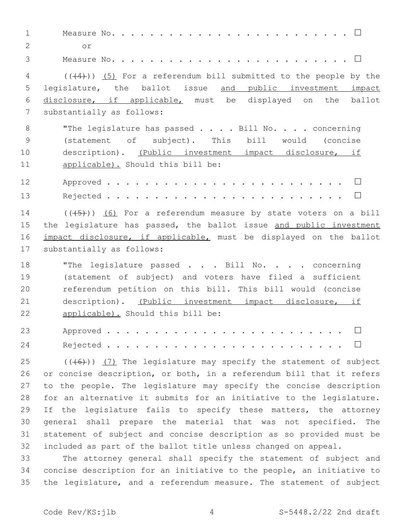Measure No. . . . . . . . . . . . . . . . . . . . . . . . . **□** or2 Measure No. . . . . . . . . . . . . . . . . . . . . . . . . **□** (( $(4)$ )) (5) For a referendum bill submitted to the people by the 5 legislature, the ballot issue and public investment impact disclosure, if applicable, must be displayed on the ballot 7 substantially as follows: 8 "The legislature has passed . . . . Bill No. . . . concerning (statement of subject). This bill would (concise description). (Public investment impact disclosure, if 11 applicable). Should this bill be: Approved . . . . . . . . . . . . . . . . . . . . . . . . . **□** Rejected . . . . . . . . . . . . . . . . . . . . . . . . . **□**  $((\overline{5})$  (6) For a referendum measure by state voters on a bill 15 the legislature has passed, the ballot issue and public investment 16 impact disclosure, if applicable, must be displayed on the ballot 17 substantially as follows: 18 "The legislature passed . . . Bill No. . . . concerning (statement of subject) and voters have filed a sufficient referendum petition on this bill. This bill would (concise description). (Public investment impact disclosure, if 22 applicable). Should this bill be: Approved . . . . . . . . . . . . . . . . . . . . . . . . . **□** Rejected . . . . . . . . . . . . . . . . . . . . . . . . . **□**  $(1 + 6)$  (( $(4)$ )) (7) The legislature may specify the statement of subject or concise description, or both, in a referendum bill that it refers to the people. The legislature may specify the concise description for an alternative it submits for an initiative to the legislature. 29 If the legislature fails to specify these matters, the attorney general shall prepare the material that was not specified. The statement of subject and concise description as so provided must be included as part of the ballot title unless changed on appeal. The attorney general shall specify the statement of subject and concise description for an initiative to the people, an initiative to the legislature, and a referendum measure. The statement of subject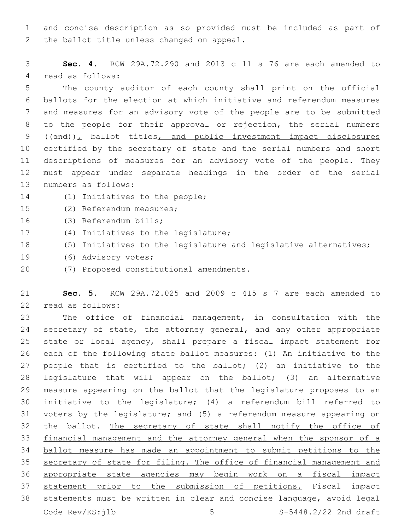and concise description as so provided must be included as part of 2 the ballot title unless changed on appeal.

 **Sec. 4.** RCW 29A.72.290 and 2013 c 11 s 76 are each amended to 4 read as follows:

 The county auditor of each county shall print on the official ballots for the election at which initiative and referendum measures and measures for an advisory vote of the people are to be submitted to the people for their approval or rejection, the serial numbers 9 ((and)), ballot titles, and public investment impact disclosures certified by the secretary of state and the serial numbers and short descriptions of measures for an advisory vote of the people. They must appear under separate headings in the order of the serial 13 numbers as follows:

- 14 (1) Initiatives to the people;
- 15 (2) Referendum measures;
- 16 (3) Referendum bills;
- 17 (4) Initiatives to the legislature;
- (5) Initiatives to the legislature and legislative alternatives;
- 19 (6) Advisory votes;
- (7) Proposed constitutional amendments.20

 **Sec. 5.** RCW 29A.72.025 and 2009 c 415 s 7 are each amended to 22 read as follows:

 The office of financial management, in consultation with the secretary of state, the attorney general, and any other appropriate state or local agency, shall prepare a fiscal impact statement for each of the following state ballot measures: (1) An initiative to the people that is certified to the ballot; (2) an initiative to the legislature that will appear on the ballot; (3) an alternative measure appearing on the ballot that the legislature proposes to an initiative to the legislature; (4) a referendum bill referred to voters by the legislature; and (5) a referendum measure appearing on the ballot. The secretary of state shall notify the office of financial management and the attorney general when the sponsor of a ballot measure has made an appointment to submit petitions to the secretary of state for filing. The office of financial management and appropriate state agencies may begin work on a fiscal impact statement prior to the submission of petitions. Fiscal impact statements must be written in clear and concise language, avoid legal Code  $Rev/KS: jlb$  5  $S-5448.2/22$  2nd draft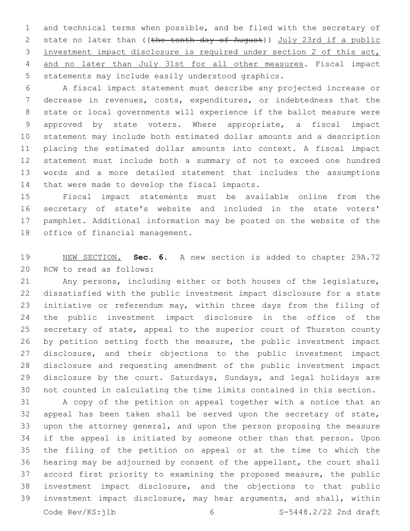and technical terms when possible, and be filed with the secretary of 2 state no later than ((the tenth day of August)) July 23rd if a public investment impact disclosure is required under section 2 of this act, and no later than July 31st for all other measures. Fiscal impact 5 statements may include easily understood graphics.

 A fiscal impact statement must describe any projected increase or decrease in revenues, costs, expenditures, or indebtedness that the state or local governments will experience if the ballot measure were approved by state voters. Where appropriate, a fiscal impact statement may include both estimated dollar amounts and a description placing the estimated dollar amounts into context. A fiscal impact statement must include both a summary of not to exceed one hundred words and a more detailed statement that includes the assumptions 14 that were made to develop the fiscal impacts.

 Fiscal impact statements must be available online from the secretary of state's website and included in the state voters' pamphlet. Additional information may be posted on the website of the 18 office of financial management.

 NEW SECTION. **Sec. 6.** A new section is added to chapter 29A.72 20 RCW to read as follows:

 Any persons, including either or both houses of the legislature, dissatisfied with the public investment impact disclosure for a state initiative or referendum may, within three days from the filing of the public investment impact disclosure in the office of the secretary of state, appeal to the superior court of Thurston county by petition setting forth the measure, the public investment impact disclosure, and their objections to the public investment impact disclosure and requesting amendment of the public investment impact disclosure by the court. Saturdays, Sundays, and legal holidays are not counted in calculating the time limits contained in this section.

 A copy of the petition on appeal together with a notice that an appeal has been taken shall be served upon the secretary of state, upon the attorney general, and upon the person proposing the measure if the appeal is initiated by someone other than that person. Upon the filing of the petition on appeal or at the time to which the hearing may be adjourned by consent of the appellant, the court shall accord first priority to examining the proposed measure, the public investment impact disclosure, and the objections to that public investment impact disclosure, may hear arguments, and shall, within Code Rev/KS:ilb 6 5-5448.2/22 2nd draft